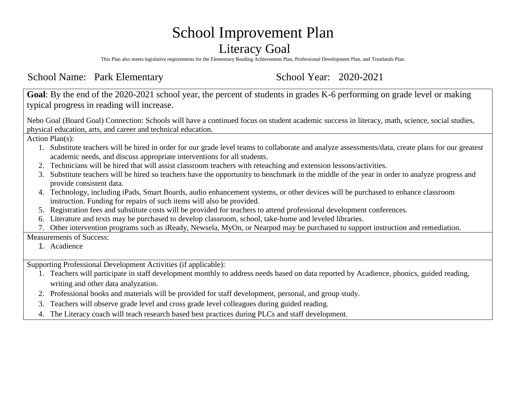# School Improvement Plan

#### Literacy Goal

This Plan also meets legislative requirements for the Elementary Reading Achievement Plan, Professional Development Plan, and Trustlands Plan.

School Name: Park Elementary School Year: 2020-2021

**Goal**: By the end of the 2020-2021 school year, the percent of students in grades K-6 performing on grade level or making typical progress in reading will increase.

Nebo Goal (Board Goal) Connection: Schools will have a continued focus on student academic success in literacy, math, science, social studies, physical education, arts, and career and technical education.

Action Plan(s):

- 1. Substitute teachers will be hired in order for our grade level teams to collaborate and analyze assessments/data, create plans for our greatest academic needs, and discuss appropriate interventions for all students.
- 2. Technicians will be hired that will assist classroom teachers with reteaching and extension lessons/activities.
- 3. Substitute teachers will be hired so teachers have the opportunity to benchmark in the middle of the year in order to analyze progress and provide consistent data.
- 4. Technology, including iPads, Smart Boards, audio enhancement systems, or other devices will be purchased to enhance classroom instruction. Funding for repairs of such items will also be provided.
- 5. Registration fees and substitute costs will be provided for teachers to attend professional development conferences.
- 6. Literature and texts may be purchased to develop classroom, school, take-home and leveled libraries.
- 7. Other intervention programs such as iReady, Newsela, MyOn, or Nearpod may be purchased to support instruction and remediation.

Measurements of Success:

1. Acadience

Supporting Professional Development Activities (if applicable):

- 1. Teachers will participate in staff development monthly to address needs based on data reported by Acadience, phonics, guided reading, writing and other data analyzation.
- 2. Professional books and materials will be provided for staff development, personal, and group study.
- 3. Teachers will observe grade level and cross grade level colleagues during guided reading.
- 4. The Literacy coach will teach research based best practices during PLCs and staff development.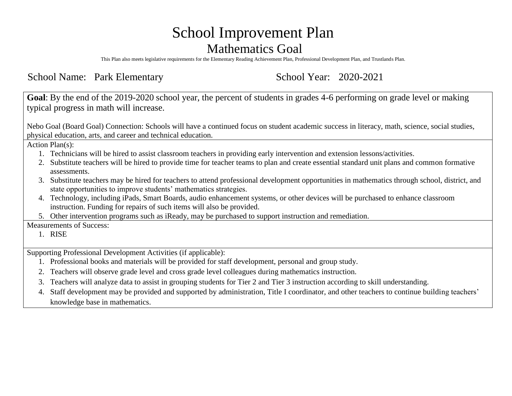## School Improvement Plan Mathematics Goal

This Plan also meets legislative requirements for the Elementary Reading Achievement Plan, Professional Development Plan, and Trustlands Plan.

School Name: Park Elementary School Year: 2020-2021

**Goal**: By the end of the 2019-2020 school year, the percent of students in grades 4-6 performing on grade level or making typical progress in math will increase.

Nebo Goal (Board Goal) Connection: Schools will have a continued focus on student academic success in literacy, math, science, social studies, physical education, arts, and career and technical education.

Action Plan(s):

- 1. Technicians will be hired to assist classroom teachers in providing early intervention and extension lessons/activities.
- 2. Substitute teachers will be hired to provide time for teacher teams to plan and create essential standard unit plans and common formative assessments.
- 3. Substitute teachers may be hired for teachers to attend professional development opportunities in mathematics through school, district, and state opportunities to improve students' mathematics strategies.
- 4. Technology, including iPads, Smart Boards, audio enhancement systems, or other devices will be purchased to enhance classroom instruction. Funding for repairs of such items will also be provided.
- 5. Other intervention programs such as iReady, may be purchased to support instruction and remediation.

Measurements of Success:

1. RISE

Supporting Professional Development Activities (if applicable):

- 1. Professional books and materials will be provided for staff development, personal and group study.
- 2. Teachers will observe grade level and cross grade level colleagues during mathematics instruction.
- 3. Teachers will analyze data to assist in grouping students for Tier 2 and Tier 3 instruction according to skill understanding.
- 4. Staff development may be provided and supported by administration, Title I coordinator, and other teachers to continue building teachers' knowledge base in mathematics.